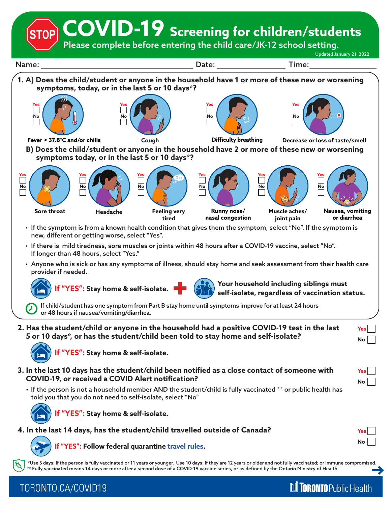**COVID-19 Screening for children/students**

Please complete before entering the child care/JK-12 school setting.

Updated January 21, 2022

**M** TORONTO Public Health



TORONTO.CA/COVID19